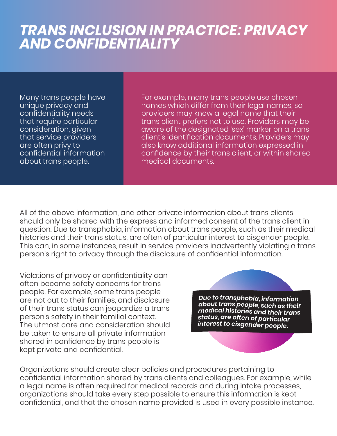## *TRANS INCLUSION IN PRACTICE: PRIVACY AND CONFIDENTIALITY*

Many trans people have unique privacy and confidentiality needs that require particular consideration, given that service providers are often privy to confidential information about trans people.

For example, many trans people use chosen names which differ from their legal names, so providers may know a legal name that their trans client prefers not to use. Providers may be aware of the designated 'sex' marker on a trans client's identification documents. Providers may also know additional information expressed in confidence by their trans client, or within shared medical documents.

All of the above information, and other private information about trans clients should only be shared with the express and informed consent of the trans client in question. Due to transphobia, information about trans people, such as their medical histories and their trans status, are often of particular interest to cisgender people. This can, in some instances, result in service providers inadvertently violating a trans person's right to privacy through the disclosure of confidential information.

Violations of privacy or confidentiality can often become safety concerns for trans people. For example, some trans people are not out to their families, and disclosure of their trans status can jeopardize a trans person's safety in their familial context. The utmost care and consideration should be taken to ensure all private information shared in confidence by trans people is kept private and confidential.

Due to transphobia, information about transpection, information *divent transpeople, such as their*<br>*medical histories and their trans* status, are often of particular<br>interest to size of particular states, are stick of particular<br>interest to cisgender people.

Organizations should create clear policies and procedures pertaining to confidential information shared by trans clients and colleagues. For example, while a legal name is often required for medical records and during intake processes, organizations should take every step possible to ensure this information is kept confidential, and that the chosen name provided is used in every possible instance.